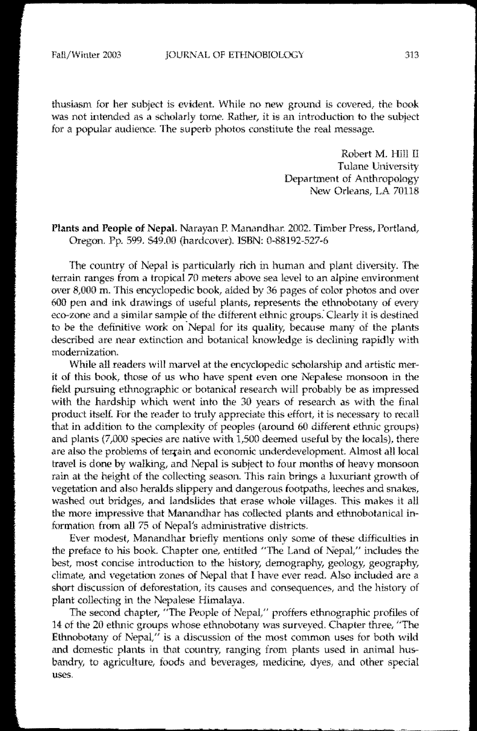thusiasm for her subject is evident. While no new ground is covered, the book was not intended as a scholarly tome. Rather, it is an introduction to the subject for a popular audience. The superb photos constitute the real message.

> Robert M. Hill II Tulane University Department of Anthropology New Orleans, LA 70118

## Plants and People of Nepal. Narayan E Manandhar: 2002. Timber Press, Portland, Oregon. 599. \$49.00 {hardcover). ISBN: 0-88192-527-6

The country of Nepal is particularly rich in human and plant diversity. The terrain ranges from a tropical 70 meters above sea level to an alpine environment over 8,000 m. This encyclopedic book, aided by 36 pages of color photos and over 600 pen and ink drawings of useful plants, represents the ethnobotany of every eco-zone and a similar sample of the different ethnic groups. Clearly it is destined to be the definitive work on Nepal for its quality, because many of the plants described are near extinction and botanical knowledge is declining rapidly with modernization.

While all readers will marvel at the encyclopedic scholarship and artistic merit of this book, those of us who have spent even one Nepalese monsoon in the field pursuing ethnographic or botanical research will probably be as impressed with the hardship which went into the 30 years of research as with the final product itself. For the reader to truly appreciate this effort, it is necessary to recall that in addition to the complexity of peoples (around 60 different ethnic groups) and plants  $(7,000$  species are native with  $1,500$  deemed useful by the locals), there are also the problems of terrain and economic underdevelopment. Almost all local travel is done by walking, and Nepal is subject to four months of heavy monsoon rain at the height of the collecting season. This rain brings a luxuriant growth of vegetation and also heralds slippery and dangerous footpaths, leeches and snakes, washed out bridges, and landslides that erase whole villages. This makes it all the more impressive that Manandhar has collected plants and ethnobotanical information from all 75 of Nepal's administrative districts.

Ever modest, Manandhar briefly mentions only some of these difficulties in the preface to his book. Chapter one, entitled "The Land of Nepal," includes the best, most concise introduction to the history, demography, geology, geography, climate, and vegetation zones of Nepal that I have ever read. Also included are a short discussion of deforestation, its causes and consequences, and the history of plant collecting in the Nepalese Himalaya.

The second chapter, "The People of Nepal/' proffers ethnographic profiles of 14 of the 20 ethnic groups whose ethnobotany was surveyed. Chapter three, "The Ethnobotany of Nepal, $\prime\prime$  is a discussion of the most common uses for both wild and domestic plants in that country, ranging from plants used in animal husbandry, to agriculture, foods and beverages, medicine, dyes, and other special uses.